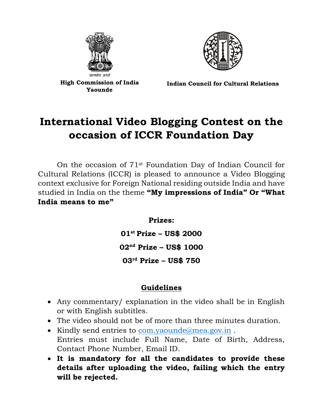



**High Commission of India Yaounde**

**Indian Council for Cultural Relations**

## **International Video Blogging Contest on the occasion of ICCR Foundation Day**

On the occasion of 71st Foundation Day of Indian Council for Cultural Relations (ICCR) is pleased to announce a Video Blogging context exclusive for Foreign National residing outside India and have studied in India on the theme **"My impressions of India" Or "What India means to me"**

**Prizes:**

**01st Prize – US\$ 2000 02nd Prize – US\$ 1000 03rd Prize – US\$ 750**

## **Guidelines**

- Any commentary/ explanation in the video shall be in English or with English subtitles.
- The video should not be of more than three minutes duration.
- Kindly send entries to [com.yaounde@mea.gov.in](mailto:com.yaounde@mea.gov.in) . Entries must include Full Name, Date of Birth, Address, Contact Phone Number, Email ID.
- **It is mandatory for all the candidates to provide these details after uploading the video, failing which the entry will be rejected.**